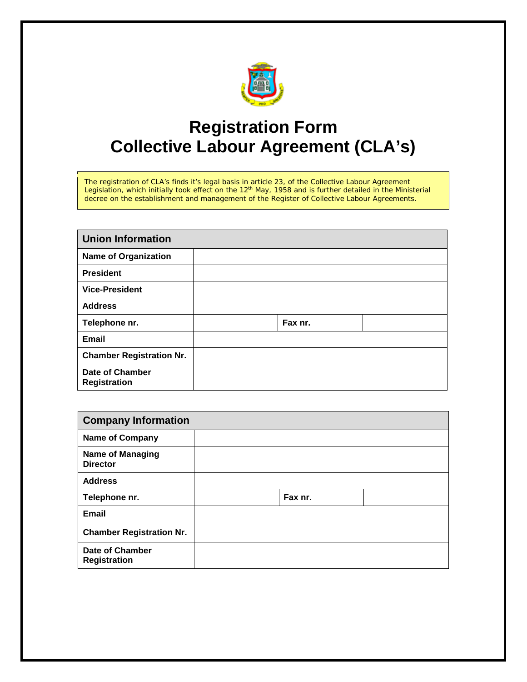

## **Registration Form Collective Labour Agreement (CLA's)**

The registration of CLA's finds it's legal basis in article 23, of the Collective Labour Agreement Legislation, which initially took effect on the 12th May, 1958 and is further detailed in the Ministerial decree on the establishment and management of the Register of Collective Labour Agreements.

| <b>Union Information</b>                      |         |  |  |  |  |
|-----------------------------------------------|---------|--|--|--|--|
| <b>Name of Organization</b>                   |         |  |  |  |  |
| <b>President</b>                              |         |  |  |  |  |
| <b>Vice-President</b>                         |         |  |  |  |  |
| <b>Address</b>                                |         |  |  |  |  |
| Telephone nr.                                 | Fax nr. |  |  |  |  |
| <b>Email</b>                                  |         |  |  |  |  |
| <b>Chamber Registration Nr.</b>               |         |  |  |  |  |
| <b>Date of Chamber</b><br><b>Registration</b> |         |  |  |  |  |

| <b>Company Information</b>                 |         |  |  |  |  |
|--------------------------------------------|---------|--|--|--|--|
| <b>Name of Company</b>                     |         |  |  |  |  |
| <b>Name of Managing</b><br><b>Director</b> |         |  |  |  |  |
| <b>Address</b>                             |         |  |  |  |  |
| Telephone nr.                              | Fax nr. |  |  |  |  |
| <b>Email</b>                               |         |  |  |  |  |
| <b>Chamber Registration Nr.</b>            |         |  |  |  |  |
| Date of Chamber<br><b>Registration</b>     |         |  |  |  |  |